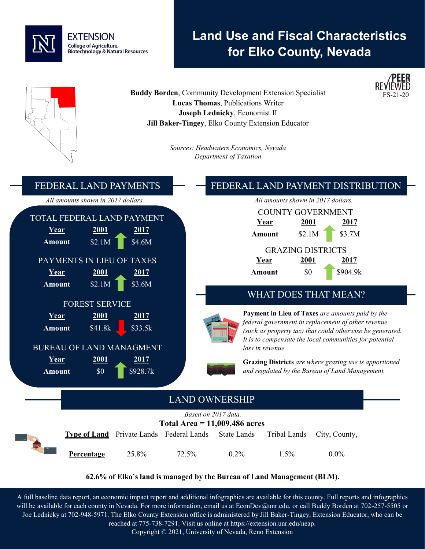

# **Land Use and Fiscal Characteristics for Elko County, Nevada**



#### **62.6% of Elko's land is managed by the Bureau of Land Management (BLM).**

A full baseline data report, an economic impact report and additional infographics are available for this county. Full reports and infographics will be available for each county in Nevada. For more information, email us at EconDev@unr.edu, or call Buddy Borden at 702-257-5505 or Joe Lednicky at 702-948-5971. The Elko County Extension office is administered by Jill Baker-Tingey, Extension Educator, who can be reached at 775-738-7291. Visit us online at https://extension.unr.edu/neap.

Copyright © 2021, University of Nevada, Reno Extension